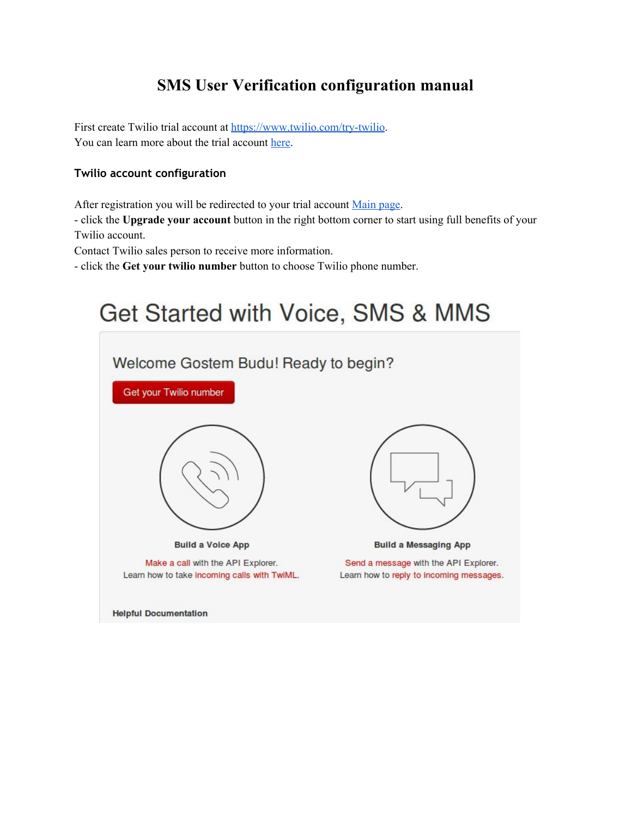# **SMS User Verification configuration manual**

First create Twilio trial account at https://www.twilio.com/try-twilio. You can learn more about the trial account [here.](https://www.twilio.com/help/faq/twilio-basics/how-does-twilios-free-trial-work)

### **Twilio account configuration**

After registration you will be redirected to your trial account [Main](https://www.twilio.com/user/account/voice-sms-mms/getting-started) page.

 click the **Upgrade your account**button in the right bottom corner to start using full benefits of your Twilio account.

Contact Twilio sales person to receive more information.

click the **Get your twilio number**button to choose Twilio phone number.

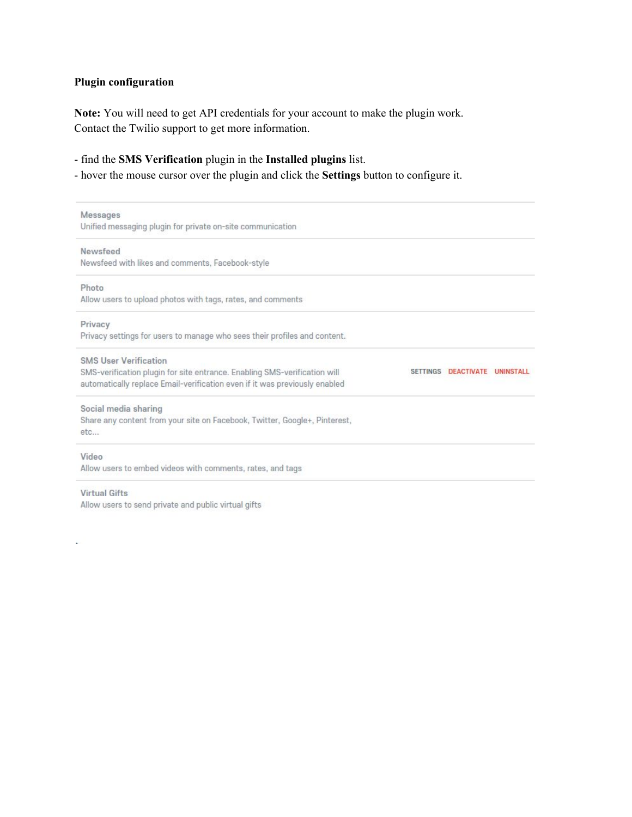### **Plugin configuration**

**Note:**You will need to get API credentials for your account to make the plugin work. Contact the Twilio support to get more information.

find the **SMS Verification**plugin in the **Installed plugins**list.

hover the mouse cursor over the plugin and click the **Settings** button to configure it.

| Messages                                                                   |                     |                  |
|----------------------------------------------------------------------------|---------------------|------------------|
| Unified messaging plugin for private on-site communication                 |                     |                  |
| Newsfeed                                                                   |                     |                  |
| Newsfeed with likes and comments, Facebook-style                           |                     |                  |
| Photo                                                                      |                     |                  |
| Allow users to upload photos with tags, rates, and comments                |                     |                  |
| Privacy                                                                    |                     |                  |
| Privacy settings for users to manage who sees their profiles and content.  |                     |                  |
| <b>SMS User Verification</b>                                               |                     |                  |
| SMS-verification plugin for site entrance. Enabling SMS-verification will  | SETTINGS DEACTIVATE | <b>UNINSTALL</b> |
| automatically replace Email-verification even if it was previously enabled |                     |                  |
| Social media sharing                                                       |                     |                  |
| Share any content from your site on Facebook, Twitter, Google+, Pinterest, |                     |                  |
| etc                                                                        |                     |                  |
| Video                                                                      |                     |                  |
| Allow users to embed videos with comments, rates, and tags                 |                     |                  |
| <b>Virtual Gifts</b>                                                       |                     |                  |

Allow users to send private and public virtual gifts

à.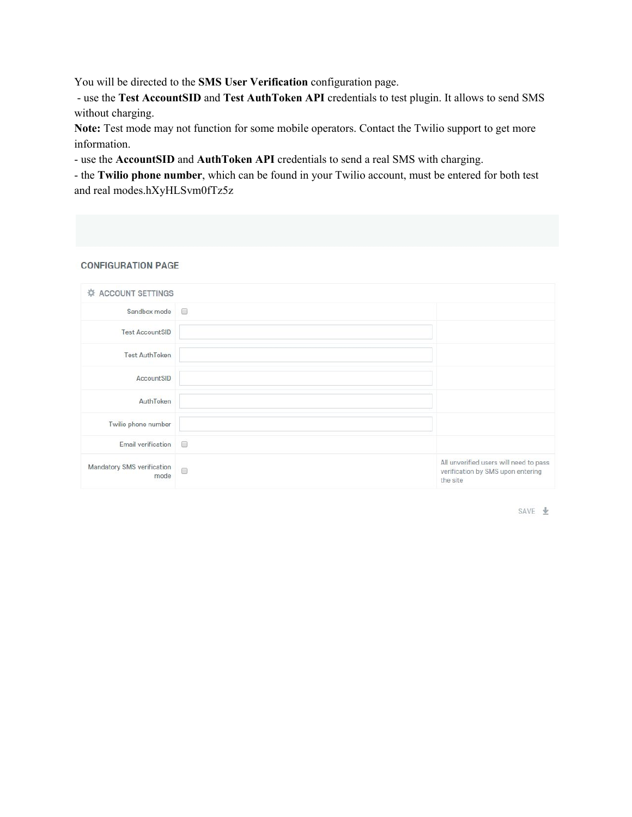You will be directed to the **SMS** User Verification configuration page.

 use the **Test AccountSID**and **Test AuthToken API**credentials to test plugin. It allows to send SMS without charging.

**Note:**Test mode may not function for some mobile operators. Contact the Twilio support to get more information.

use the **AccountSID**and **AuthToken API**credentials to send a real SMS with charging.

 the **Twilio phone number**, which can be found in your Twilio account, must be entered for both test and real modes.hXyHLSvm0fTz5z

#### **CONFIGURATION PAGE**

| <b>ACCOUNT SETTINGS</b>            |        |                                                                                         |
|------------------------------------|--------|-----------------------------------------------------------------------------------------|
| Sandbox mode                       | $\Box$ |                                                                                         |
| <b>Test AccountSID</b>             |        |                                                                                         |
| <b>Test AuthToken</b>              |        |                                                                                         |
| AccountSID                         |        |                                                                                         |
| AuthToken                          |        |                                                                                         |
| Twilio phone number                |        |                                                                                         |
| Email verification                 | $\Box$ |                                                                                         |
| Mandatory SMS verification<br>mode | $\Box$ | All unverified users will need to pass<br>verification by SMS upon entering<br>the site |

SAVE  $\pm$